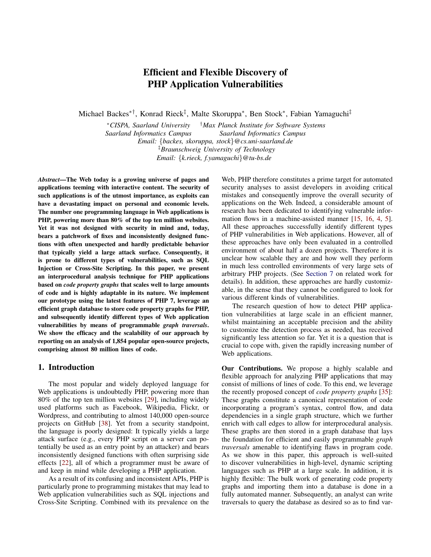# Efficient and Flexible Discovery of PHP Application Vulnerabilities

Michael Backes<sup>\*†</sup>, Konrad Rieck<sup>‡</sup>, Malte Skoruppa<sup>∗</sup>, Ben Stock<sup>∗</sup>, Fabian Yamaguchi<sup>‡</sup>

<sup>∗</sup>*CISPA, Saarland University* †*Max Planck Institute for Software Systems Saarland Informatics Campus Saarland Informatics Campus Email:* {*backes, skoruppa, stock*}*@cs.uni-saarland.de* ‡*Braunschweig University of Technology Email:* {*k.rieck, f.yamaguchi*}*@tu-bs.de*

*Abstract*—The Web today is a growing universe of pages and applications teeming with interactive content. The security of such applications is of the utmost importance, as exploits can have a devastating impact on personal and economic levels. The number one programming language in Web applications is PHP, powering more than 80% of the top ten million websites. Yet it was not designed with security in mind and, today, bears a patchwork of fixes and inconsistently designed functions with often unexpected and hardly predictable behavior that typically yield a large attack surface. Consequently, it is prone to different types of vulnerabilities, such as SQL Injection or Cross-Site Scripting. In this paper, we present an interprocedural analysis technique for PHP applications based on *code property graphs* that scales well to large amounts of code and is highly adaptable in its nature. We implement our prototype using the latest features of PHP 7, leverage an efficient graph database to store code property graphs for PHP, and subsequently identify different types of Web application vulnerabilities by means of programmable *graph traversals*. We show the efficacy and the scalability of our approach by reporting on an analysis of 1,854 popular open-source projects, comprising almost 80 million lines of code.

# 1. Introduction

The most popular and widely deployed language for Web applications is undoubtedly PHP, powering more than 80% of the top ten million websites [\[29\]](#page-15-0), including widely used platforms such as Facebook, Wikipedia, Flickr, or Wordpress, and contributing to almost 140,000 open-source projects on GitHub [\[38\]](#page-15-1). Yet from a security standpoint, the language is poorly designed: It typically yields a large attack surface (e.g., every PHP script on a server can potentially be used as an entry point by an attacker) and bears inconsistently designed functions with often surprising side effects [\[22\]](#page-14-0), all of which a programmer must be aware of and keep in mind while developing a PHP application.

As a result of its confusing and inconsistent APIs, PHP is particularly prone to programming mistakes that may lead to Web application vulnerabilities such as SQL injections and Cross-Site Scripting. Combined with its prevalence on the Web, PHP therefore constitutes a prime target for automated security analyses to assist developers in avoiding critical mistakes and consequently improve the overall security of applications on the Web. Indeed, a considerable amount of research has been dedicated to identifying vulnerable information flows in a machine-assisted manner [\[15,](#page-14-1) [16,](#page-14-2) [4,](#page-14-3) [5\]](#page-14-4). All these approaches successfully identify different types of PHP vulnerabilities in Web applications. However, all of these approaches have only been evaluated in a controlled environment of about half a dozen projects. Therefore it is unclear how scalable they are and how well they perform in much less controlled environments of very large sets of arbitrary PHP projects. (See [Section 7](#page-12-0) on related work for details). In addition, these approaches are hardly customizable, in the sense that they cannot be configured to look for various different kinds of vulnerabilities.

The research question of how to detect PHP application vulnerabilities at large scale in an efficient manner, whilst maintaining an acceptable precision and the ability to customize the detection process as needed, has received significantly less attention so far. Yet it is a question that is crucial to cope with, given the rapidly increasing number of Web applications.

Our Contributions. We propose a highly scalable and flexible approach for analyzing PHP applications that may consist of millions of lines of code. To this end, we leverage the recently proposed concept of *code property graphs* [\[35\]](#page-15-2): These graphs constitute a canonical representation of code incorporating a program's syntax, control flow, and data dependencies in a single graph structure, which we further enrich with call edges to allow for interprocedural analysis. These graphs are then stored in a graph database that lays the foundation for efficient and easily programmable *graph traversals* amenable to identifying flaws in program code. As we show in this paper, this approach is well-suited to discover vulnerabilities in high-level, dynamic scripting languages such as PHP at a large scale. In addition, it is highly flexible: The bulk work of generating code property graphs and importing them into a database is done in a fully automated manner. Subsequently, an analyst can write traversals to query the database as desired so as to find var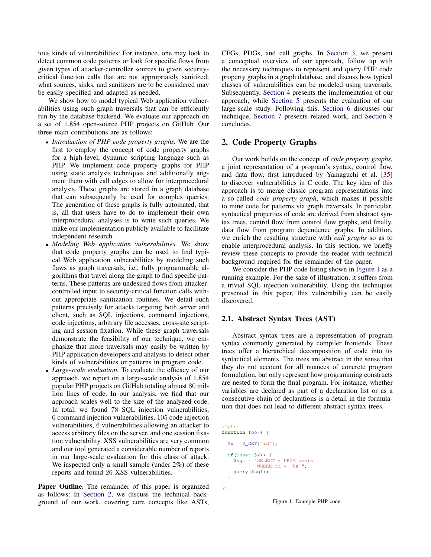ious kinds of vulnerabilities: For instance, one may look to detect common code patterns or look for specific flows from given types of attacker-controller sources to given securitycritical function calls that are not appropriately sanitized; what sources, sinks, and sanitizers are to be considered may be easily specified and adapted as needed.

We show how to model typical Web application vulnerabilities using such graph traversals that can be efficiently run by the database backend. We evaluate our approach on a set of 1,854 open-source PHP projects on GitHub. Our three main contributions are as follows:

- *Introduction of PHP code property graphs.* We are the first to employ the concept of code property graphs for a high-level, dynamic scripting language such as PHP. We implement code property graphs for PHP using static analysis techniques and additionally augment them with call edges to allow for interprocedural analysis. These graphs are stored in a graph database that can subsequently be used for complex queries. The generation of these graphs is fully automated, that is, all that users have to do to implement their own interprocedural analyses is to write such queries. We make our implementation publicly available to facilitate independent research.
- *Modeling Web application vulnerabilities.* We show that code property graphs can be used to find typical Web application vulnerabilities by modeling such flaws as graph traversals, i.e., fully programmable algorithms that travel along the graph to find specific patterns. These patterns are undesired flows from attackercontrolled input to security-critical function calls without appropriate sanitization routines. We detail such patterns precisely for attacks targeting both server and client, such as SQL injections, command injections, code injections, arbitrary file accesses, cross-site scripting and session fixation. While these graph traversals demonstrate the feasibility of our technique, we emphasize that more traversals may easily be written by PHP application developers and analysts to detect other kinds of vulnerabilities or patterns in program code.
- *Large-scale evaluation.* To evaluate the efficacy of our approach, we report on a large-scale analysis of 1,854 popular PHP projects on GitHub totaling almost 80 million lines of code. In our analysis, we find that our approach scales well to the size of the analyzed code. In total, we found 78 SQL injection vulnerabilities, 6 command injection vulnerabilities, 105 code injection vulnerabilities, 6 vulnerabilities allowing an attacker to access arbitrary files on the server, and one session fixation vulnerability. XSS vulnerabilities are very common and our tool generated a considerable number of reports in our large-scale evaluation for this class of attack. We inspected only a small sample (under 2%) of these reports and found 26 XSS vulnerabilities.

Paper Outline. The remainder of this paper is organized as follows: In [Section 2,](#page-1-0) we discuss the technical background of our work, covering core concepts like ASTs, CFGs, PDGs, and call graphs. In [Section 3,](#page-3-0) we present a conceptual overview of our approach, follow up with the necessary techniques to represent and query PHP code property graphs in a graph database, and discuss how typical classes of vulnerabilities can be modeled using traversals. Subsequently, [Section 4](#page-7-0) presents the implementation of our approach, while [Section 5](#page-8-0) presents the evaluation of our large-scale study. Following this, [Section 6](#page-11-0) discusses our technique, [Section 7](#page-12-0) presents related work, and [Section 8](#page-14-5) concludes.

# <span id="page-1-0"></span>2. Code Property Graphs

Our work builds on the concept of *code property graphs*, a joint representation of a program's syntax, control flow, and data flow, first introduced by Yamaguchi et al. [\[35\]](#page-15-2) to discover vulnerabilities in C code. The key idea of this approach is to merge classic program representations into a so-called *code property graph*, which makes it possible to mine code for patterns via graph traversals. In particular, syntactical properties of code are derived from abstract syntax trees, control flow from control flow graphs, and finally, data flow from program dependence graphs. In addition, we enrich the resulting structure with *call graphs* so as to enable interprocedural analysis. In this section, we briefly review these concepts to provide the reader with technical background required for the remainder of the paper.

We consider the PHP code listing shown in [Figure 1](#page-1-1) as a running example. For the sake of illustration, it suffers from a trivial SQL injection vulnerability. Using the techniques presented in this paper, this vulnerability can be easily discovered.

#### 2.1. Abstract Syntax Trees (AST)

Abstract syntax trees are a representation of program syntax commonly generated by compiler frontends. These trees offer a hierarchical decomposition of code into its syntactical elements. The trees are abstract in the sense that they do not account for all nuances of concrete program formulation, but only represent how programming constructs are nested to form the final program. For instance, whether variables are declared as part of a declaration list or as a consecutive chain of declarations is a detail in the formulation that does not lead to different abstract syntax trees.

```
<?php
function foo() {
  sx = $GET["id"];
  if(isset($x)) {
    $sql = "SELECT * FROM users
            WHERE id = '$x'";
   query($sql);
 }
}
?>
```
<span id="page-1-1"></span>Figure 1. Example PHP code.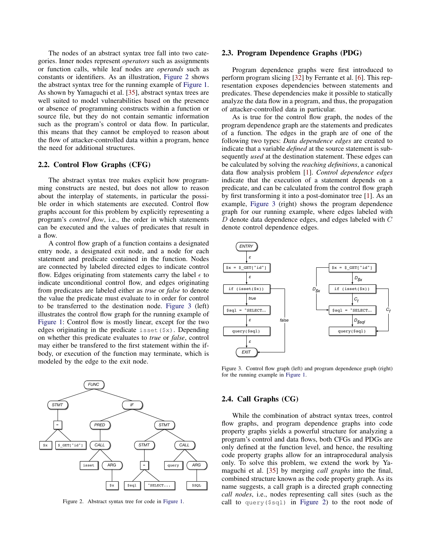The nodes of an abstract syntax tree fall into two categories. Inner nodes represent *operators* such as assignments or function calls, while leaf nodes are *operands* such as constants or identifiers. As an illustration, [Figure 2](#page-2-0) shows the abstract syntax tree for the running example of [Figure 1.](#page-1-1) As shown by Yamaguchi et al. [\[35\]](#page-15-2), abstract syntax trees are well suited to model vulnerabilities based on the presence or absence of programming constructs within a function or source file, but they do not contain semantic information such as the program's control or data flow. In particular, this means that they cannot be employed to reason about the flow of attacker-controlled data within a program, hence the need for additional structures.

#### 2.2. Control Flow Graphs (CFG)

The abstract syntax tree makes explicit how programming constructs are nested, but does not allow to reason about the interplay of statements, in particular the possible order in which statements are executed. Control flow graphs account for this problem by explicitly representing a program's *control flow*, i.e., the order in which statements can be executed and the values of predicates that result in a flow.

A control flow graph of a function contains a designated entry node, a designated exit node, and a node for each statement and predicate contained in the function. Nodes are connected by labeled directed edges to indicate control flow. Edges originating from statements carry the label  $\epsilon$  to indicate unconditional control flow, and edges originating from predicates are labeled either as *true* or *false* to denote the value the predicate must evaluate to in order for control to be transferred to the destination node. [Figure 3](#page-2-1) (left) illustrates the control flow graph for the running example of [Figure 1:](#page-1-1) Control flow is mostly linear, except for the two edges originating in the predicate isset  $(\frac{2}{x})$ . Depending on whether this predicate evaluates to *true* or *false*, control may either be transfered to the first statement within the ifbody, or execution of the function may terminate, which is modeled by the edge to the exit node.



<span id="page-2-0"></span>Figure 2. Abstract syntax tree for code in [Figure 1.](#page-1-1)

#### <span id="page-2-2"></span>2.3. Program Dependence Graphs (PDG)

Program dependence graphs were first introduced to perform program slicing [\[32\]](#page-15-3) by Ferrante et al. [\[6\]](#page-14-6). This representation exposes dependencies between statements and predicates. These dependencies make it possible to statically analyze the data flow in a program, and thus, the propagation of attacker-controlled data in particular.

As is true for the control flow graph, the nodes of the program dependence graph are the statements and predicates of a function. The edges in the graph are of one of the following two types: *Data dependence edges* are created to indicate that a variable *defined* at the source statement is subsequently *used* at the destination statement. These edges can be calculated by solving the *reaching definitions*, a canonical data flow analysis problem [\[1\]](#page-14-7). *Control dependence edges* indicate that the execution of a statement depends on a predicate, and can be calculated from the control flow graph by first transforming it into a post-dominator tree [\[1\]](#page-14-7). As an example, [Figure 3](#page-2-1) (right) shows the program dependence graph for our running example, where edges labeled with  $D$  denote data dependence edges, and edges labeled with  $C$ denote control dependence edges.



<span id="page-2-1"></span>Figure 3. Control flow graph (left) and program dependence graph (right) for the running example in [Figure 1.](#page-1-1)

## 2.4. Call Graphs (CG)

While the combination of abstract syntax trees, control flow graphs, and program dependence graphs into code property graphs yields a powerful structure for analyzing a program's control and data flows, both CFGs and PDGs are only defined at the function level, and hence, the resulting code property graphs allow for an intraprocedural analysis only. To solve this problem, we extend the work by Yamaguchi et al. [\[35\]](#page-15-2) by merging *call graphs* into the final, combined structure known as the code property graph. As its name suggests, a call graph is a directed graph connecting *call nodes*, i.e., nodes representing call sites (such as the call to query  $(\frac{1}{5}q)$  in [Figure 2\)](#page-2-0) to the root node of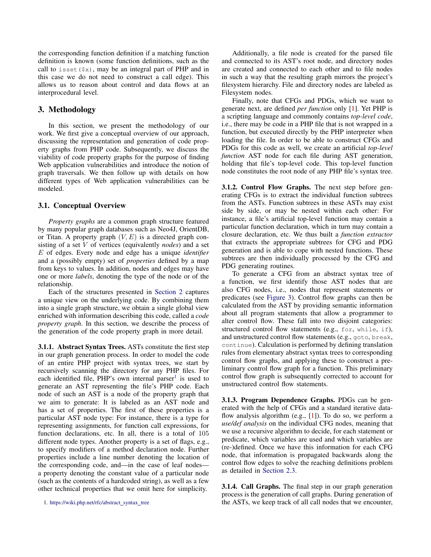the corresponding function definition if a matching function definition is known (some function definitions, such as the call to isset  $(\frac{5}{x})$ , may be an integral part of PHP and in this case we do not need to construct a call edge). This allows us to reason about control and data flows at an interprocedural level.

# <span id="page-3-0"></span>3. Methodology

In this section, we present the methodology of our work. We first give a conceptual overview of our approach, discussing the representation and generation of code property graphs from PHP code. Subsequently, we discuss the viability of code property graphs for the purpose of finding Web application vulnerabilities and introduce the notion of graph traversals. We then follow up with details on how different types of Web application vulnerabilities can be modeled.

# <span id="page-3-2"></span>3.1. Conceptual Overview

*Property graphs* are a common graph structure featured by many popular graph databases such as Neo4J, OrientDB, or Titan. A property graph  $(V, E)$  is a directed graph consisting of a set V of vertices (equivalently *nodes*) and a set E of edges. Every node and edge has a unique *identifier* and a (possibly empty) set of *properties* defined by a map from keys to values. In addition, nodes and edges may have one or more *labels*, denoting the type of the node or of the relationship.

Each of the structures presented in [Section 2](#page-1-0) captures a unique view on the underlying code. By combining them into a single graph structure, we obtain a single global view enriched with information describing this code, called a *code property graph*. In this section, we describe the process of the generation of the code property graph in more detail.

3.1.1. Abstract Syntax Trees. ASTs constitute the first step in our graph generation process. In order to model the code of an entire PHP project with syntax trees, we start by recursively scanning the directory for any PHP files. For each identified file, PHP's own internal parser<sup>[1](#page-3-1)</sup> is used to generate an AST representing the file's PHP code. Each node of such an AST is a node of the property graph that we aim to generate: It is labeled as an AST node and has a set of properties. The first of these properties is a particular AST node type: For instance, there is a type for representing assignments, for function call expressions, for function declarations, etc. In all, there is a total of 105 different node types. Another property is a set of flags, e.g., to specify modifiers of a method declaration node. Further properties include a line number denoting the location of the corresponding code, and—in the case of leaf nodes a property denoting the constant value of a particular node (such as the contents of a hardcoded string), as well as a few other technical properties that we omit here for simplicity.

Additionally, a file node is created for the parsed file and connected to its AST's root node, and directory nodes are created and connected to each other and to file nodes in such a way that the resulting graph mirrors the project's filesystem hierarchy. File and directory nodes are labeled as Filesystem nodes.

Finally, note that CFGs and PDGs, which we want to generate next, are defined *per function* only [\[1\]](#page-14-7). Yet PHP is a scripting language and commonly contains *top-level code*, i.e., there may be code in a PHP file that is not wrapped in a function, but executed directly by the PHP interpreter when loading the file. In order to be able to construct CFGs and PDGs for this code as well, we create an artificial *top-level function* AST node for each file during AST generation, holding that file's top-level code. This top-level function node constitutes the root node of any PHP file's syntax tree.

3.1.2. Control Flow Graphs. The next step before generating CFGs is to extract the individual function subtrees from the ASTs. Function subtrees in these ASTs may exist side by side, or may be nested within each other: For instance, a file's artificial top-level function may contain a particular function declaration, which in turn may contain a closure declaration, etc. We thus built a *function extractor* that extracts the appropriate subtrees for CFG and PDG generation and is able to cope with nested functions. These subtrees are then individually processed by the CFG and PDG generating routines.

To generate a CFG from an abstract syntax tree of a function, we first identify those AST nodes that are also CFG nodes, i.e., nodes that represent statements or predicates (see [Figure 3\)](#page-2-1). Control flow graphs can then be calculated from the AST by providing semantic information about all program statements that allow a programmer to alter control flow. These fall into two disjoint categories: structured control flow statements (e.g., for, while, if), and unstructured control flow statements (e.g., goto, break, continue). Calculation is performed by defining translation rules from elementary abstract syntax trees to corresponding control flow graphs, and applying these to construct a preliminary control flow graph for a function. This preliminary control flow graph is subsequently corrected to account for unstructured control flow statements.

3.1.3. Program Dependence Graphs. PDGs can be generated with the help of CFGs and a standard iterative dataflow analysis algorithm (e.g.,  $[1]$ ). To do so, we perform a *use/def analysis* on the individual CFG nodes, meaning that we use a recursive algorithm to decide, for each statement or predicate, which variables are used and which variables are (re-)defined. Once we have this information for each CFG node, that information is propagated backwards along the control flow edges to solve the reaching definitions problem as detailed in [Section 2.3.](#page-2-2)

3.1.4. Call Graphs. The final step in our graph generation process is the generation of call graphs. During generation of the ASTs, we keep track of all call nodes that we encounter,

<span id="page-3-1"></span><sup>1.</sup> [https://wiki.php.net/rfc/abstract](https://wiki.php.net/rfc/abstract_syntax_tree)\_syntax\_tree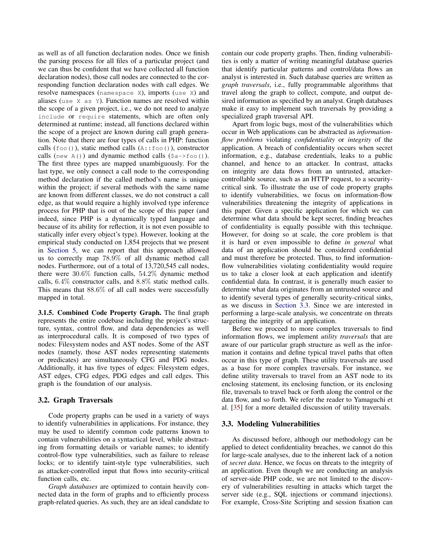as well as of all function declaration nodes. Once we finish the parsing process for all files of a particular project (and we can thus be confident that we have collected all function declaration nodes), those call nodes are connected to the corresponding function declaration nodes with call edges. We resolve namespaces (namespace X), imports (use X) and aliases (use X as Y). Function names are resolved within the scope of a given project, i.e., we do not need to analyze include or require statements, which are often only determined at runtime; instead, all functions declared within the scope of a project are known during call graph generation. Note that there are four types of calls in PHP: function calls  $(foo())$ , static method calls  $(A: : foo())$ , constructor calls (new  $A()$ ) and dynamic method calls  $(\frac{2}{3}a \rightarrow 500)$ ). The first three types are mapped unambiguously. For the last type, we only connect a call node to the corresponding method declaration if the called method's name is unique within the project; if several methods with the same name are known from different classes, we do not construct a call edge, as that would require a highly involved type inference process for PHP that is out of the scope of this paper (and indeed, since PHP is a dynamically typed language and because of its ability for reflection, it is not even possible to statically infer every object's type). However, looking at the empirical study conducted on 1,854 projects that we present in [Section 5,](#page-8-0) we can report that this approach allowed us to correctly map 78.9% of all dynamic method call nodes. Furthermore, out of a total of 13,720,545 call nodes, there were 30.6% function calls, 54.2% dynamic method calls, 6.4% constructor calls, and 8.8% static method calls. This means that 88.6% of all call nodes were successfully mapped in total.

3.1.5. Combined Code Property Graph. The final graph represents the entire codebase including the project's structure, syntax, control flow, and data dependencies as well as interprocedural calls. It is composed of two types of nodes: Filesystem nodes and AST nodes. Some of the AST nodes (namely, those AST nodes representing statements or predicates) are simultaneously CFG and PDG nodes. Additionally, it has five types of edges: Filesystem edges, AST edges, CFG edges, PDG edges and call edges. This graph is the foundation of our analysis.

# 3.2. Graph Traversals

Code property graphs can be used in a variety of ways to identify vulnerabilities in applications. For instance, they may be used to identify common code patterns known to contain vulnerabilities on a syntactical level, while abstracting from formatting details or variable names; to identify control-flow type vulnerabilities, such as failure to release locks; or to identify taint-style type vulnerabilities, such as attacker-controlled input that flows into security-critical function calls, etc.

*Graph databases* are optimized to contain heavily connected data in the form of graphs and to efficiently process graph-related queries. As such, they are an ideal candidate to contain our code property graphs. Then, finding vulnerabilities is only a matter of writing meaningful database queries that identify particular patterns and control/data flows an analyst is interested in. Such database queries are written as *graph traversals*, i.e., fully programmable algorithms that travel along the graph to collect, compute, and output desired information as specified by an analyst. Graph databases make it easy to implement such traversals by providing a specialized graph traversal API.

Apart from logic bugs, most of the vulnerabilities which occur in Web applications can be abstracted as *informationflow problems* violating *confidentiality* or *integrity* of the application. A breach of confidentiality occurs when secret information, e.g., database credentials, leaks to a public channel, and hence to an attacker. In contrast, attacks on integrity are data flows from an untrusted, attackercontrollable source, such as an HTTP request, to a securitycritical sink. To illustrate the use of code property graphs to identify vulnerabilities, we focus on information-flow vulnerabilities threatening the integrity of applications in this paper. Given a specific application for which we can determine what data should be kept secret, finding breaches of confidentiality is equally possible with this technique. However, for doing so at scale, the core problem is that it is hard or even impossible to define *in general* what data of an application should be considered confidential and must therefore be protected. Thus, to find informationflow vulnerabilities violating confidentiality would require us to take a closer look at each application and identify confidential data. In contrast, it is generally much easier to determine what data originates from an untrusted source and to identify several types of generally security-critical sinks, as we discuss in [Section 3.3.](#page-4-0) Since we are interested in performing a large-scale analysis, we concentrate on threats targeting the integrity of an application.

Before we proceed to more complex traversals to find information flows, we implement *utility traversals* that are aware of our particular graph structure as well as the information it contains and define typical travel paths that often occur in this type of graph. These utility traversals are used as a base for more complex traversals. For instance, we define utility traversals to travel from an AST node to its enclosing statement, its enclosing function, or its enclosing file, traversals to travel back or forth along the control or the data flow, and so forth. We refer the reader to Yamaguchi et al. [\[35\]](#page-15-2) for a more detailed discussion of utility traversals.

# <span id="page-4-0"></span>3.3. Modeling Vulnerabilities

As discussed before, although our methodology can be applied to detect confidentiality breaches, we cannot do this for large-scale analyses, due to the inherent lack of a notion of *secret data*. Hence, we focus on threats to the integrity of an application. Even though we are conducting an analysis of server-side PHP code, we are not limited to the discovery of vulnerabilities resulting in attacks which target the server side (e.g., SQL injections or command injections). For example, Cross-Site Scripting and session fixation can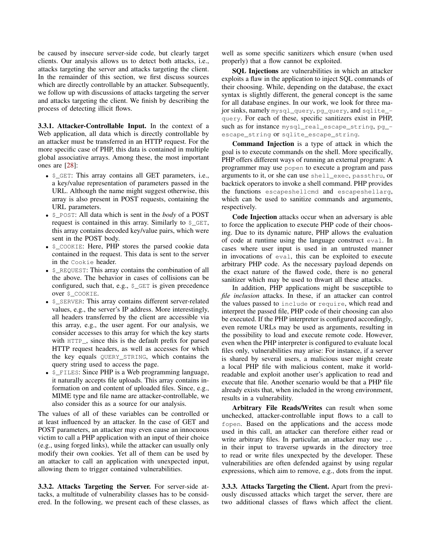be caused by insecure server-side code, but clearly target clients. Our analysis allows us to detect both attacks, i.e., attacks targeting the server and attacks targeting the client. In the remainder of this section, we first discuss sources which are directly controllable by an attacker. Subsequently, we follow up with discussions of attacks targeting the server and attacks targeting the client. We finish by describing the process of detecting illicit flows.

3.3.1. Attacker-Controllable Input. In the context of a Web application, all data which is directly controllable by an attacker must be transferred in an HTTP request. For the more specific case of PHP, this data is contained in multiple global associative arrays. Among these, the most important ones are [\[28\]](#page-15-4):

- \$\_GET: This array contains all GET parameters, i.e., a key/value representation of parameters passed in the URL. Although the name might suggest otherwise, this array is also present in POST requests, containing the URL parameters.
- \$\_POST: All data which is sent in the *body* of a POST request is contained in this array. Similarly to  $\S$ <sub>CET</sub>, this array contains decoded key/value pairs, which were sent in the POST body.
- \$\_COOKIE: Here, PHP stores the parsed cookie data contained in the request. This data is sent to the server in the Cookie header.
- \$\_REQUEST: This array contains the combination of all the above. The behavior in cases of collisions can be configured, such that, e.g., \$\_GET is given precedence over \$\_COOKIE.
- \$\_SERVER: This array contains different server-related values, e.g., the server's IP address. More interestingly, all headers transferred by the client are accessible via this array, e.g., the user agent. For our analysis, we consider accesses to this array for which the key starts with HTTP\_, since this is the default prefix for parsed HTTP request headers, as well as accesses for which the key equals QUERY\_STRING, which contains the query string used to access the page.
- $\frac{1}{2}$  FILES: Since PHP is a Web programming language, it naturally accepts file uploads. This array contains information on and content of uploaded files. Since, e.g., MIME type and file name are attacker-controllable, we also consider this as a source for our analysis.

The values of all of these variables can be controlled or at least influenced by an attacker. In the case of GET and POST parameters, an attacker may even cause an innocuous victim to call a PHP application with an input of their choice (e.g., using forged links), while the attacker can usually only modify their own cookies. Yet all of them can be used by an attacker to call an application with unexpected input, allowing them to trigger contained vulnerabilities.

3.3.2. Attacks Targeting the Server. For server-side attacks, a multitude of vulnerability classes has to be considered. In the following, we present each of these classes, as well as some specific sanitizers which ensure (when used properly) that a flow cannot be exploited.

SQL Injections are vulnerabilities in which an attacker exploits a flaw in the application to inject SQL commands of their choosing. While, depending on the database, the exact syntax is slightly different, the general concept is the same for all database engines. In our work, we look for three major sinks, namely mysql\_query, pg\_query, and sqlite\_ query. For each of these, specific sanitizers exist in PHP, such as for instance mysql\_real\_escape\_string, pg\_ escape\_string or sqlite\_escape\_string.

Command Injection is a type of attack in which the goal is to execute commands on the shell. More specifically, PHP offers different ways of running an external program: A programmer may use popen to execute a program and pass arguments to it, or she can use shell\_exec, passthru, or backtick operators to invoke a shell command. PHP provides the functions escapeshellcmd and escapeshellarg, which can be used to sanitize commands and arguments, respectively.

Code Injection attacks occur when an adversary is able to force the application to execute PHP code of their choosing. Due to its dynamic nature, PHP allows the evaluation of code at runtime using the language construct eval. In cases where user input is used in an untrusted manner in invocations of eval, this can be exploited to execute arbitrary PHP code. As the necessary payload depends on the exact nature of the flawed code, there is no general sanitizer which may be used to thwart all these attacks.

In addition, PHP applications might be susceptible to *file inclusion* attacks. In these, if an attacker can control the values passed to include or require, which read and interpret the passed file, PHP code of their choosing can also be executed. If the PHP interpreter is configured accordingly, even remote URLs may be used as arguments, resulting in the possibility to load and execute remote code. However, even when the PHP interpreter is configured to evaluate local files only, vulnerabilities may arise: For instance, if a server is shared by several users, a malicious user might create a local PHP file with malicious content, make it worldreadable and exploit another user's application to read and execute that file. Another scenario would be that a PHP file already exists that, when included in the wrong environment, results in a vulnerability.

Arbitrary File Reads/Writes can result when some unchecked, attacker-controllable input flows to a call to fopen. Based on the applications and the access mode used in this call, an attacker can therefore either read or write arbitrary files. In particular, an attacker may use ... in their input to traverse upwards in the directory tree to read or write files unexpected by the developer. These vulnerabilities are often defended against by using regular expressions, which aim to remove, e.g., dots from the input.

3.3.3. Attacks Targeting the Client. Apart from the previously discussed attacks which target the server, there are two additional classes of flaws which affect the client.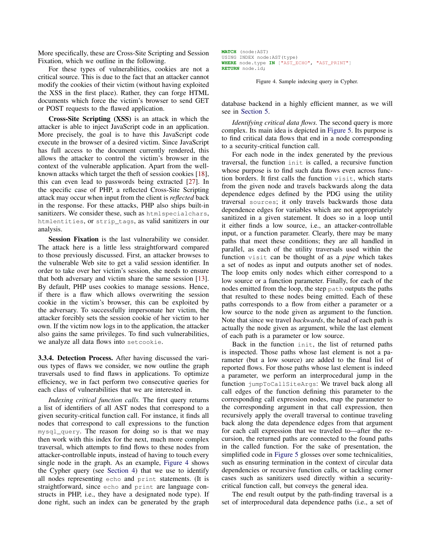More specifically, these are Cross-Site Scripting and Session Fixation, which we outline in the following.

For these types of vulnerabilities, cookies are not a critical source. This is due to the fact that an attacker cannot modify the cookies of their victim (without having exploited the XSS in the first place). Rather, they can forge HTML documents which force the victim's browser to send GET or POST requests to the flawed application.

Cross-Site Scripting (XSS) is an attack in which the attacker is able to inject JavaScript code in an application. More precisely, the goal is to have this JavaScript code execute in the browser of a desired victim. Since JavaScript has full access to the document currently rendered, this allows the attacker to control the victim's browser in the context of the vulnerable application. Apart from the wellknown attacks which target the theft of session cookies [\[18\]](#page-14-8), this can even lead to passwords being extracted [\[27\]](#page-15-5). In the specific case of PHP, a reflected Cross-Site Scripting attack may occur when input from the client is *reflected* back in the response. For these attacks, PHP also ships built-in sanitizers. We consider these, such as htmlspecialchars, htmlentities, or strip\_tags, as valid sanitizers in our analysis.

Session Fixation is the last vulnerability we consider. The attack here is a little less straightforward compared to those previously discussed. First, an attacker browses to the vulnerable Web site to get a valid session identifier. In order to take over her victim's session, she needs to ensure that both adversary and victim share the same session [\[13\]](#page-14-9). By default, PHP uses cookies to manage sessions. Hence, if there is a flaw which allows overwriting the session cookie in the victim's browser, this can be exploited by the adversary. To successfully impersonate her victim, the attacker forcibly sets the session cookie of her victim to her own. If the victim now logs in to the application, the attacker also gains the same privileges. To find such vulnerabilities, we analyze all data flows into setcookie.

<span id="page-6-1"></span>3.3.4. Detection Process. After having discussed the various types of flaws we consider, we now outline the graph traversals used to find flaws in applications. To optimize efficiency, we in fact perform two consecutive queries for each class of vulnerabilities that we are interested in.

*Indexing critical function calls.* The first query returns a list of identifiers of all AST nodes that correspond to a given security-critical function call. For instance, it finds all nodes that correspond to call expressions to the function mysql\_query. The reason for doing so is that we may then work with this index for the next, much more complex traversal, which attempts to find flows to these nodes from attacker-controllable inputs, instead of having to touch every single node in the graph. As an example, [Figure 4](#page-6-0) shows the Cypher query (see [Section 4\)](#page-7-0) that we use to identify all nodes representing echo and print statements. (It is straightforward, since echo and print are language constructs in PHP, i.e., they have a designated node type). If done right, such an index can be generated by the graph **MATCH** (node:AST) USING INDEX node:AST(type) **WHERE** node.type **IN** ["AST\_ECHO", "AST\_PRINT"] **RETURN** node.id;

<span id="page-6-0"></span>Figure 4. Sample indexing query in Cypher.

database backend in a highly efficient manner, as we will see in [Section 5.](#page-8-0)

*Identifying critical data flows.* The second query is more complex. Its main idea is depicted in [Figure 5.](#page-7-1) Its purpose is to find critical data flows that end in a node corresponding to a security-critical function call.

For each node in the index generated by the previous traversal, the function init is called, a recursive function whose purpose is to find such data flows even across function borders. It first calls the function visit, which starts from the given node and travels backwards along the data dependence edges defined by the PDG using the utility traversal sources; it only travels backwards those data dependence edges for variables which are not appropriately sanitized in a given statement. It does so in a loop until it either finds a low source, i.e., an attacker-controllable input, or a function parameter. Clearly, there may be many paths that meet these conditions; they are all handled in parallel, as each of the utility traversals used within the function visit can be thought of as a *pipe* which takes a set of nodes as input and outputs another set of nodes. The loop emits only nodes which either correspond to a low source or a function parameter. Finally, for each of the nodes emitted from the loop, the step path outputs the paths that resulted to these nodes being emitted. Each of these paths corresponds to a flow from either a parameter or a low source to the node given as argument to the function. Note that since we travel *backwards*, the head of each path is actually the node given as argument, while the last element of each path is a parameter or low source.

Back in the function init, the list of returned paths is inspected. Those paths whose last element is not a parameter (but a low source) are added to the final list of reported flows. For those paths whose last element is indeed a parameter, we perform an interprocedural jump in the function jumpToCallSiteArgs: We travel back along all call edges of the function defining this parameter to the corresponding call expression nodes, map the parameter to the corresponding argument in that call expression, then recursively apply the overall traversal to continue traveling back along the data dependence edges from that argument for each call expression that we traveled to—after the recursion, the returned paths are connected to the found paths in the called function. For the sake of presentation, the simplified code in [Figure 5](#page-7-1) glosses over some technicalities, such as ensuring termination in the context of circular data dependencies or recursive function calls, or tackling corner cases such as sanitizers used directly within a securitycritical function call, but conveys the general idea.

The end result output by the path-finding traversal is a set of interprocedural data dependence paths (i.e., a set of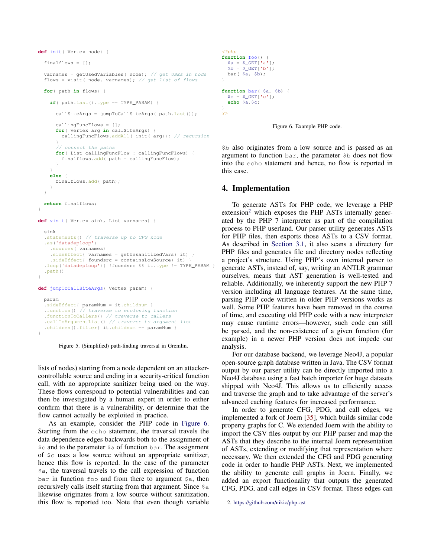```
def init( Vertex node) {
  finalflows = [];
  varnames = getUsedVariables( node); // get USEs in node
  flows = visit( node, varnames); // get list of flows
  for( path in flows) {
    if( pathuast() .type == TYPE\_PARAM) { }callSiteArgs = jumpToCallSiteArgs( path.last());
      callingFuncFlows = [];
      for( Vertex arg in callSiteArgs) {
        callingFuncFlows.addAll( init( arg)); // recursion
      }
      // connect the paths
      for( List callingFuncFlow : callingFuncFlows) {
        finalflows.add( path + callingFuncFlow);
      }
    }
    else {
      finalflows.add( path);
    }
  }
  return finalflows;
}
def visit( Vertex sink, List varnames) {
  sink
  .statements() // traverse up to CFG node
  .as('datadeploop')
    .sources( varnames)
    .sideEffect{ varnames = getUnsanitizedVars( it) }
    .sideEffect{ foundsrc = containsLowSource( it) }
  .loop('datadeploop'){ !foundsrc && it.type != TYPE_PARAM }
  .path()
}
def jumpToCallSiteArgs( Vertex param) {
 param
  .sideEffect{ paramNum = it.childnum }
  .function() // traverse to enclosing function
  .functionToCallers() // traverse to callers
  .callToArgumentList() // traverse to argument list
  .children().filter{ it.childnum == paramNum }
                                                                }
                                                                ?>
```
<span id="page-7-1"></span>Figure 5. (Simplified) path-finding traversal in Gremlin.

}

lists of nodes) starting from a node dependent on an attackercontrollable source and ending in a security-critical function call, with no appropriate sanitizer being used on the way. These flows correspond to potential vulnerabilities and can then be investigated by a human expert in order to either confirm that there is a vulnerability, or determine that the flow cannot actually be exploited in practice.

As an example, consider the PHP code in [Figure 6.](#page-7-2) Starting from the echo statement, the traversal travels the data dependence edges backwards both to the assignment of  $\epsilon$  and to the parameter  $\epsilon$  a of function bar. The assignment of \$c uses a low source without an appropriate sanitizer, hence this flow is reported. In the case of the parameter \$a, the traversal travels to the call expression of function bar in function foo and from there to argument \$a, then recursively calls itself starting from that argument. Since \$a likewise originates from a low source without sanitization, this flow is reported too. Note that even though variable

```
<?php
function foo() {
  $a = $_{GET['a']};$b = $GET['b'];bar( $a, $b);
}
function bar( $a, $b) {
  sc = s\_GET['c'];echo $a.$c;
```
<span id="page-7-2"></span>

\$b also originates from a low source and is passed as an argument to function bar, the parameter \$b does not flow into the echo statement and hence, no flow is reported in this case.

# <span id="page-7-0"></span>4. Implementation

To generate ASTs for PHP code, we leverage a PHP  $extension<sup>2</sup>$  $extension<sup>2</sup>$  $extension<sup>2</sup>$  which exposes the PHP ASTs internally generated by the PHP 7 interpreter as part of the compilation process to PHP userland. Our parser utility generates ASTs for PHP files, then exports those ASTs to a CSV format. As described in [Section 3.1,](#page-3-2) it also scans a directory for PHP files and generates file and directory nodes reflecting a project's structure. Using PHP's own internal parser to generate ASTs, instead of, say, writing an ANTLR grammar ourselves, means that AST generation is well-tested and reliable. Additionally, we inherently support the new PHP 7 version including all language features. At the same time, parsing PHP code written in older PHP versions works as well. Some PHP features have been removed in the course of time, and executing old PHP code with a new interpreter may cause runtime errors—however, such code can still be parsed, and the non-existence of a given function (for example) in a newer PHP version does not impede our analysis.

For our database backend, we leverage Neo4J, a popular open-source graph database written in Java. The CSV format output by our parser utility can be directly imported into a Neo4J database using a fast batch importer for huge datasets shipped with Neo4J. This allows us to efficiently access and traverse the graph and to take advantage of the server's advanced caching features for increased performance.

In order to generate CFG, PDG, and call edges, we implemented a fork of Joern [\[35\]](#page-15-2), which builds similar code property graphs for C. We extended Joern with the ability to import the CSV files output by our PHP parser and map the ASTs that they describe to the internal Joern representation of ASTs, extending or modifying that representation where necessary. We then extended the CFG and PDG generating code in order to handle PHP ASTs. Next, we implemented the ability to generate call graphs in Joern. Finally, we added an export functionality that outputs the generated CFG, PDG, and call edges in CSV format. These edges can

<span id="page-7-3"></span>2. <https://github.com/nikic/php-ast>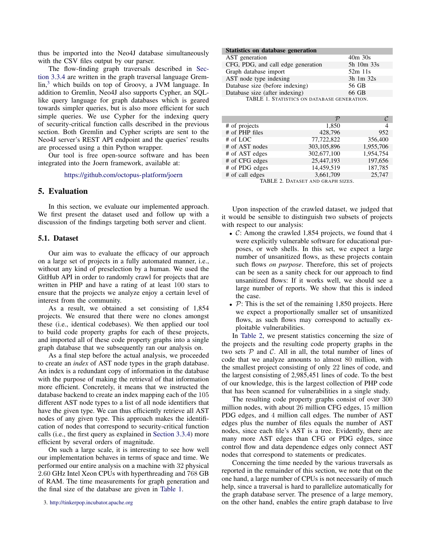thus be imported into the Neo4J database simultaneously with the CSV files output by our parser.

The flow-finding graph traversals described in [Sec](#page-6-1)[tion 3.3.4](#page-6-1) are written in the graph traversal language Grem- $\lim$ <sup>[3](#page-8-1)</sup> which builds on top of Groovy, a JVM language. In addition to Gremlin, Neo4J also supports Cypher, an SQLlike query language for graph databases which is geared towards simpler queries, but is also more efficient for such simple queries. We use Cypher for the indexing query of security-critical function calls described in the previous section. Both Gremlin and Cypher scripts are sent to the Neo4J server's REST API endpoint and the queries' results are processed using a thin Python wrapper.

Our tool is free open-source software and has been integrated into the Joern framework, available at:

<https://github.com/octopus-platform/joern>

# <span id="page-8-0"></span>5. Evaluation

In this section, we evaluate our implemented approach. We first present the dataset used and follow up with a discussion of the findings targeting both server and client.

#### 5.1. Dataset

Our aim was to evaluate the efficacy of our approach on a large set of projects in a fully automated manner, i.e., without any kind of preselection by a human. We used the GitHub API in order to randomly crawl for projects that are written in PHP and have a rating of at least 100 stars to ensure that the projects we analyze enjoy a certain level of interest from the community.

As a result, we obtained a set consisting of 1,854 projects. We ensured that there were no clones amongst these (i.e., identical codebases). We then applied our tool to build code property graphs for each of these projects, and imported all of these code property graphs into a single graph database that we subsequently ran our analysis on.

As a final step before the actual analysis, we proceeded to create an *index* of AST node types in the graph database. An index is a redundant copy of information in the database with the purpose of making the retrieval of that information more efficient. Concretely, it means that we instructed the database backend to create an index mapping each of the 105 different AST node types to a list of all node identifiers that have the given type. We can thus efficiently retrieve all AST nodes of any given type. This approach makes the identification of nodes that correspond to security-critical function calls (i.e., the first query as explained in [Section 3.3.4\)](#page-6-1) more efficient by several orders of magnitude.

On such a large scale, it is interesting to see how well our implementation behaves in terms of space and time. We performed our entire analysis on a machine with 32 physical 2.60 GHz Intel Xeon CPUs with hyperthreading and 768 GB of RAM. The time measurements for graph generation and the final size of the database are given in [Table 1.](#page-8-2)

# Statistics on database generation

| AST generation                              | $40m$ 30s     |
|---------------------------------------------|---------------|
| CFG, PDG, and call edge generation          | 5h 10m 33s    |
| Graph database import                       | $52m$ 11s     |
| AST node type indexing                      | $3h$ 1m $32s$ |
| Database size (before indexing)             | 56 GB         |
| Database size (after indexing)              | 66 GB         |
| TABLE 1. STATISTICS ON DATABASE GENERATION. |               |

<span id="page-8-2"></span>

| 1,850       | 4         |
|-------------|-----------|
| 428,796     | 952       |
| 77,722,822  | 356,400   |
| 303,105,896 | 1,955,706 |
| 302,677,100 | 1,954,754 |
| 25,447,193  | 197,656   |
| 14,459,519  | 187,785   |
| 3,661,709   | 25,747    |
|             |           |

<span id="page-8-3"></span>TABLE 2. DATASET AND GRAPH SIZES.

Upon inspection of the crawled dataset, we judged that it would be sensible to distinguish two subsets of projects with respect to our analysis:

- $C:$  Among the crawled 1,854 projects, we found that 4 were explicitly vulnerable software for educational purposes, or web shells. In this set, we expect a large number of unsanitized flows, as these projects contain such flows *on purpose*. Therefore, this set of projects can be seen as a sanity check for our approach to find unsanitized flows: If it works well, we should see a large number of reports. We show that this is indeed the case.
- $\mathcal{P}$ : This is the set of the remaining 1,850 projects. Here we expect a proportionally smaller set of unsanitized flows, as such flows may correspond to actually exploitable vulnerabilities.

In [Table 2,](#page-8-3) we present statistics concerning the size of the projects and the resulting code property graphs in the two sets  $P$  and  $C$ . All in all, the total number of lines of code that we analyze amounts to almost 80 million, with the smallest project consisting of only 22 lines of code, and the largest consisting of 2,985,451 lines of code. To the best of our knowledge, this is the largest collection of PHP code that has been scanned for vulnerabilities in a single study.

The resulting code property graphs consist of over 300 million nodes, with about 26 million CFG edges, 15 million PDG edges, and 4 million call edges. The number of AST edges plus the number of files equals the number of AST nodes, since each file's AST is a tree. Evidently, there are many more AST edges than CFG or PDG edges, since control flow and data dependence edges only connect AST nodes that correspond to statements or predicates.

Concerning the time needed by the various traversals as reported in the remainder of this section, we note that on the one hand, a large number of CPUs is not necessarily of much help, since a traversal is hard to parallelize automatically for the graph database server. The presence of a large memory, on the other hand, enables the entire graph database to live

<span id="page-8-1"></span><sup>3.</sup> <http://tinkerpop.incubator.apache.org>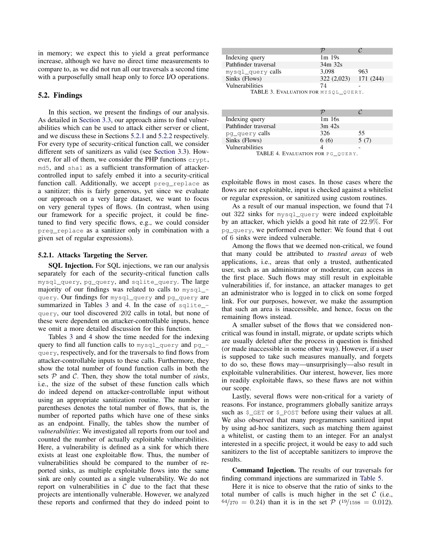in memory; we expect this to yield a great performance increase, although we have no direct time measurements to compare to, as we did not run all our traversals a second time with a purposefully small heap only to force I/O operations.

## 5.2. Findings

In this section, we present the findings of our analysis. As detailed in [Section 3.3,](#page-4-0) our approach aims to find vulnerabilities which can be used to attack either server or client, and we discuss these in Sections [5.2.1](#page-9-0) and [5.2.2](#page-11-1) respectively. For every type of security-critical function call, we consider different sets of sanitizers as valid (see [Section 3.3\)](#page-4-0). However, for all of them, we consider the PHP functions crypt, md5, and sha1 as a sufficient transformation of attackercontrolled input to safely embed it into a security-critical function call. Additionally, we accept preg\_replace as a sanitizer; this is fairly generous, yet since we evaluate our approach on a very large dataset, we want to focus on very general types of flows. (In contrast, when using our framework for a specific project, it could be finetuned to find very specific flows, e.g., we could consider preg\_replace as a sanitizer only in combination with a given set of regular expressions).

## <span id="page-9-0"></span>5.2.1. Attacks Targeting the Server.

SQL Injection. For SQL injections, we ran our analysis separately for each of the security-critical function calls mysql\_query, pg\_query, and sqlite\_query. The large majority of our findings was related to calls to mysql\_ query. Our findings for mysql\_query and pg\_query are summarized in Tables [3](#page-9-1) and [4.](#page-9-2) In the case of sqlite\_ query, our tool discovered 202 calls in total, but none of these were dependent on attacker-controllable inputs, hence we omit a more detailed discussion for this function.

Tables [3](#page-9-1) and [4](#page-9-2) show the time needed for the indexing query to find all function calls to mysql\_query and pg\_ query, respectively, and for the traversals to find flows from attacker-controllable inputs to these calls. Furthermore, they show the total number of found function calls in both the sets P and C. Then, they show the total number of *sinks*, i.e., the size of the subset of these function calls which do indeed depend on attacker-controllable input without using an appropriate sanitization routine. The number in parentheses denotes the total number of flows, that is, the number of reported paths which have one of these sinks as an endpoint. Finally, the tables show the number of *vulnerabilities*: We investigated all reports from our tool and counted the number of actually exploitable vulnerabilities. Here, a vulnerability is defined as a sink for which there exists at least one exploitable flow. Thus, the number of vulnerabilities should be compared to the number of reported sinks, as multiple exploitable flows into the same sink are only counted as a single vulnerability. We do not report on vulnerabilities in  $C$  due to the fact that these projects are intentionally vulnerable. However, we analyzed these reports and confirmed that they do indeed point to

| Indexing query                       | $1m$ 19 $s$           |     |
|--------------------------------------|-----------------------|-----|
| Pathfinder traversal                 | 34m 32s               |     |
| mysql_query calls                    | 3.098                 | 963 |
| Sinks (Flows)                        | 322 (2,023) 171 (244) |     |
| Vulnerabilities                      | 74                    |     |
| TABLE 3. EVALUATION FOR MYSQL_QUERY. |                       |     |
|                                      |                       |     |

<span id="page-9-1"></span>

| Indexing query             | $1m$ 16s |      |
|----------------------------|----------|------|
| Pathfinder traversal       | $3m$ 42s |      |
| pq_query calls             | 326      | 55   |
| Sinks (Flows)              | 6(6)     | 5(7) |
| Vulnerabilities<br>_______ |          |      |

<span id="page-9-2"></span>TABLE 4. EVALUATION FOR PG\_QUERY.

exploitable flows in most cases. In those cases where the flows are not exploitable, input is checked against a whitelist or regular expression, or sanitized using custom routines.

As a result of our manual inspection, we found that 74 out 322 sinks for mysql\_query were indeed exploitable by an attacker, which yields a good hit rate of 22.9%. For pg\_query, we performed even better: We found that 4 out of 6 sinks were indeed vulnerable.

Among the flows that we deemed non-critical, we found that many could be attributed to *trusted areas* of web applications, i.e., areas that only a trusted, authenticated user, such as an administrator or moderator, can access in the first place. Such flows may still result in exploitable vulnerabilities if, for instance, an attacker manages to get an administrator who is logged in to click on some forged link. For our purposes, however, we make the assumption that such an area is inaccessible, and hence, focus on the remaining flows instead.

A smaller subset of the flows that we considered noncritical was found in install, migrate, or update scripts which are usually deleted after the process in question is finished (or made inaccessible in some other way). However, if a user is supposed to take such measures manually, and forgets to do so, these flows may—unsurprisingly—also result in exploitable vulnerabilities. Our interest, however, lies more in readily exploitable flaws, so these flaws are not within our scope.

Lastly, several flows were non-critical for a variety of reasons. For instance, programmers globally sanitize arrays such as \$\_GET or \$\_POST before using their values at all. We also observed that many programmers sanitized input by using ad-hoc sanitizers, such as matching them against a whitelist, or casting them to an integer. For an analyst interested in a specific project, it would be easy to add such sanitizers to the list of acceptable sanitizers to improve the results.

Command Injection. The results of our traversals for finding command injections are summarized in [Table 5.](#page-10-0)

Here it is nice to observe that the ratio of sinks to the total number of calls is much higher in the set  $C$  (i.e.,  $64/270 = 0.24$ ) than it is in the set  $P(19/1598 = 0.012)$ .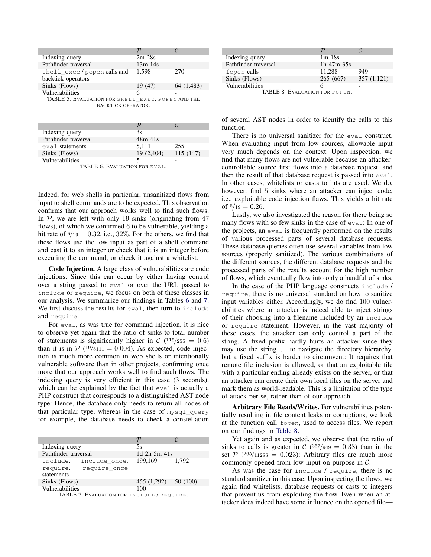| Indexing query                                    | 2m 28s    |            |  |
|---------------------------------------------------|-----------|------------|--|
| Pathfinder traversal                              | $13m$ 14s |            |  |
| shell_exec/popen calls and                        | 1.598     | 270        |  |
| backtick operators                                |           |            |  |
| Sinks (Flows)                                     | 19 (47)   | 64 (1,483) |  |
| Vulnerabilities                                   | 6         |            |  |
| TABLE 5. EVALUATION FOR SHELL EXEC, POPEN AND THE |           |            |  |
| BACKTICK OPERATOR.                                |           |            |  |

<span id="page-10-0"></span>

| Indexing query       | 3s          |          |
|----------------------|-------------|----------|
| Pathfinder traversal | $48m$ $41s$ |          |
| eval statements      | 5.111       | 255      |
| Sinks (Flows)        | 19(2,404)   | 115(147) |
| Vulnerabilities      |             |          |

<span id="page-10-1"></span>TABLE 6. EVALUATION FOR EVAL.

Indeed, for web shells in particular, unsanitized flows from input to shell commands are to be expected. This observation confirms that our approach works well to find such flows. In  $P$ , we are left with only 19 sinks (originating from 47 flows), of which we confirmed 6 to be vulnerable, yielding a hit rate of  $\frac{6}{19} = 0.32$ , i.e.,  $\frac{32}{\%}$ . For the others, we find that these flows use the low input as part of a shell command and cast it to an integer or check that it is an integer before executing the command, or check it against a whitelist.

Code Injection. A large class of vulnerabilities are code injections. Since this can occur by either having control over a string passed to eval or over the URL passed to include or require, we focus on both of these classes in our analysis. We summarize our findings in Tables [6](#page-10-1) and [7.](#page-10-2) We first discuss the results for eval, then turn to include and require.

For eval, as was true for command injection, it is nice to observe yet again that the ratio of sinks to total number of statements is significantly higher in  $C(115/255 = 0.6)$ than it is in  $P(19/5111 = 0.004)$ . As expected, code injection is much more common in web shells or intentionally vulnerable software than in other projects, confirming once more that our approach works well to find such flows. The indexing query is very efficient in this case (3 seconds), which can be explained by the fact that eval is actually a PHP construct that corresponds to a distinguished AST node type: Hence, the database only needs to return all nodes of that particular type, whereas in the case of mysql\_query for example, the database needs to check a constellation

<span id="page-10-2"></span>

| Indexing query       |                                            | 5s                     |       |
|----------------------|--------------------------------------------|------------------------|-------|
| Pathfinder traversal |                                            | 1d 2h 5m 41s           |       |
| include.             | include once.                              | 199,169                | 1.792 |
| require,             | require_once                               |                        |       |
| statements           |                                            |                        |       |
| Sinks (Flows)        |                                            | $455(1,292)$ $50(100)$ |       |
| Vulnerabilities      |                                            | 100                    |       |
|                      | TABLE 7. EVALUATION FOR INCLUDE / REOUIRE. |                        |       |

| Indexing query                 | $1m$ 18s       |             |
|--------------------------------|----------------|-------------|
| Pathfinder traversal           | 1h $47m$ $35s$ |             |
| fopen calls                    | 11.288         | 949         |
| Sinks (Flows)                  | 265(667)       | 357 (1,121) |
| Vulnerabilities                | 6              |             |
| TABLE 8. EVALUATION FOR FOPEN. |                |             |

<span id="page-10-3"></span>of several AST nodes in order to identify the calls to this function.

There is no universal sanitizer for the eval construct. When evaluating input from low sources, allowable input very much depends on the context. Upon inspection, we find that many flows are not vulnerable because an attackercontrollable source first flows into a database request, and then the result of that database request is passed into eval. In other cases, whitelists or casts to ints are used. We do, however, find 5 sinks where an attacker can inject code, i.e., exploitable code injection flaws. This yields a hit rate of  $\frac{5}{19} = 0.26$ .

Lastly, we also investigated the reason for there being so many flows with so few sinks in the case of eval: In one of the projects, an eval is frequently performed on the results of various processed parts of several database requests. These database queries often use several variables from low sources (properly sanitized). The various combinations of the different sources, the different database requests and the processed parts of the results account for the high number of flows, which eventually flow into only a handful of sinks.

In the case of the PHP language constructs include / require, there is no universal standard on how to sanitize input variables either. Accordingly, we do find 100 vulnerabilities where an attacker is indeed able to inject strings of their choosing into a filename included by an include or require statement. However, in the vast majority of these cases, the attacker can only control a part of the string. A fixed prefix hardly hurts an attacker since they may use the string .. to navigate the directory hierarchy, but a fixed suffix is harder to circumvent: It requires that remote file inclusion is allowed, or that an exploitable file with a particular ending already exists on the server, or that an attacker can create their own local files on the server and mark them as world-readable. This is a limitation of the type of attack per se, rather than of our approach.

Arbitrary File Reads/Writes. For vulnerabilities potentially resulting in file content leaks or corruptions, we look at the function call fopen, used to access files. We report on our findings in [Table 8.](#page-10-3)

Yet again and as expected, we observe that the ratio of sinks to calls is greater in  $C(357/949) = 0.38$  than in the set  $P$  (265/11288 = 0.023): Arbitrary files are much more commonly opened from low input on purpose in  $C$ .

As was the case for include / require, there is no standard sanitizer in this case. Upon inspecting the flows, we again find whitelists, database requests or casts to integers that prevent us from exploiting the flow. Even when an attacker does indeed have some influence on the opened file—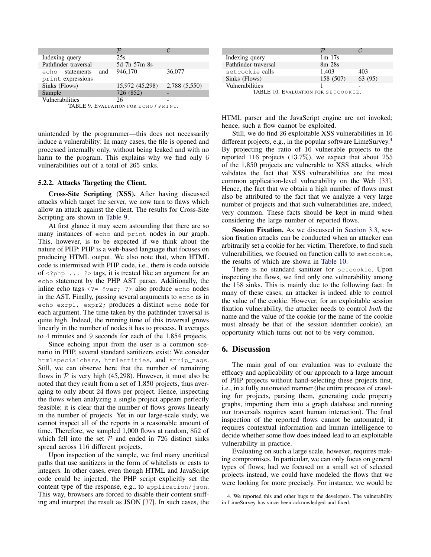| Indexing query       |     | 25s             |               |
|----------------------|-----|-----------------|---------------|
| Pathfinder traversal |     | 5d 7h 57m 8s    |               |
| echo statements      | and | 946,170         | 36,077        |
| print expressions    |     |                 |               |
| Sinks (Flows)        |     | 15,972 (45,298) | 2,788 (5,550) |
| Sample               |     | 726 (852)       |               |
| Vulnerabilities      |     | 26              |               |

<span id="page-11-2"></span>TABLE 9. EVALUATION FOR ECHO / PRINT.

unintended by the programmer—this does not necessarily induce a vulnerability: In many cases, the file is opened and processed internally only, without being leaked and with no harm to the program. This explains why we find only 6 vulnerabilities out of a total of 265 sinks.

#### <span id="page-11-1"></span>5.2.2. Attacks Targeting the Client.

Cross-Site Scripting (XSS). After having discussed attacks which target the server, we now turn to flaws which allow an attack against the client. The results for Cross-Site Scripting are shown in [Table 9.](#page-11-2)

At first glance it may seem astounding that there are so many instances of echo and print nodes in our graph. This, however, is to be expected if we think about the nature of PHP: PHP is a web-based language that focuses on producing HTML output. We also note that, when HTML code is intermixed with PHP code, i.e., there is code outside of  $\langle$ ?php ... ?> tags, it is treated like an argument for an echo statement by the PHP AST parser. Additionally, the inline echo tags  $\leq$   $\geq$   $\leq$   $\leq$   $\leq$   $\geq$   $\leq$   $\geq$   $\leq$   $\leq$   $\leq$   $\leq$   $\leq$   $\leq$   $\leq$   $\leq$   $\leq$   $\leq$   $\leq$   $\leq$   $\leq$   $\leq$   $\leq$   $\leq$   $\leq$   $\leq$   $\leq$   $\leq$   $\leq$   $\leq$   $\leq$   $\leq$   $\leq$   $\leq$  in the AST. Finally, passing several arguments to echo as in echo exrp1, expr2; produces a distinct echo node for each argument. The time taken by the pathfinder traversal is quite high. Indeed, the running time of this traversal grows linearly in the number of nodes it has to process. It averages to 4 minutes and 9 seconds for each of the 1,854 projects.

Since echoing input from the user is a common scenario in PHP, several standard sanitizers exist: We consider htmlspecialchars, htmlentities, and strip\_tags. Still, we can observe here that the number of remaining flows in  $P$  is very high (45,298). However, it must also be noted that they result from a set of 1,850 projects, thus averaging to only about 24 flows per project. Hence, inspecting the flows when analyzing a single project appears perfectly feasible; it is clear that the number of flows grows linearly in the number of projects. Yet in our large-scale study, we cannot inspect all of the reports in a reasonable amount of time. Therefore, we sampled 1,000 flows at random, 852 of which fell into the set  $P$  and ended in 726 distinct sinks spread across 116 different projects.

Upon inspection of the sample, we find many uncritical paths that use sanitizers in the form of whitelists or casts to integers. In other cases, even though HTML and JavaScript code could be injected, the PHP script explicitly set the content type of the response, e.g., to application/json. This way, browsers are forced to disable their content sniffing and interpret the result as JSON [\[37\]](#page-15-6). In such cases, the

| Indexing query                      | $1m$ 17s  |         |
|-------------------------------------|-----------|---------|
| Pathfinder traversal                | 8m 28s    |         |
| setcookie calls                     | 1,403     | 403     |
| Sinks (Flows)                       | 158 (507) | 63 (95) |
| Vulnerabilities                     |           |         |
| TABLE 10. EVALUATION FOR SETCOOKIE. |           |         |

<span id="page-11-4"></span>HTML parser and the JavaScript engine are not invoked; hence, such a flow cannot be exploited.

Still, we do find 26 exploitable XSS vulnerabilities in 16 different projects, e.g., in the popular software LimeSurvey.<sup>[4](#page-11-3)</sup> By projecting the ratio of 16 vulnerable projects to the reported 116 projects (13.7%), we expect that about 255 of the 1,850 projects are vulnerable to XSS attacks, which validates the fact that XSS vulnerabilities are the most common application-level vulnerability on the Web [\[33\]](#page-15-7). Hence, the fact that we obtain a high number of flows must also be attributed to the fact that we analyze a very large number of projects and that such vulnerabilities are, indeed, very common. These facts should be kept in mind when considering the large number of reported flows.

Session Fixation. As we discussed in [Section 3.3,](#page-4-0) session fixation attacks can be conducted when an attacker can arbitrarily set a cookie for her victim. Therefore, to find such vulnerabilities, we focused on function calls to setcookie, the results of which are shown in [Table 10.](#page-11-4)

There is no standard sanitizer for setcookie. Upon inspecting the flows, we find only one vulnerability among the 158 sinks. This is mainly due to the following fact: In many of these cases, an attacker is indeed able to control the value of the cookie. However, for an exploitable session fixation vulnerability, the attacker needs to control *both* the name and the value of the cookie (or the name of the cookie must already be that of the session identifier cookie), an opportunity which turns out not to be very common.

# <span id="page-11-0"></span>6. Discussion

The main goal of our evaluation was to evaluate the efficacy and applicability of our approach to a large amount of PHP projects without hand-selecting these projects first, i.e., in a fully automated manner (the entire process of crawling for projects, parsing them, generating code property graphs, importing them into a graph database and running our traversals requires scant human interaction). The final inspection of the reported flows cannot be automated; it requires contextual information and human intelligence to decide whether some flow does indeed lead to an exploitable vulnerability in practice.

Evaluating on such a large scale, however, requires making compromises. In particular, we can only focus on general types of flows; had we focused on a small set of selected projects instead, we could have modeled the flows that we were looking for more precisely. For instance, we would be

<span id="page-11-3"></span><sup>4.</sup> We reported this and other bugs to the developers. The vulnerability in LimeSurvey has since been acknowledged and fixed.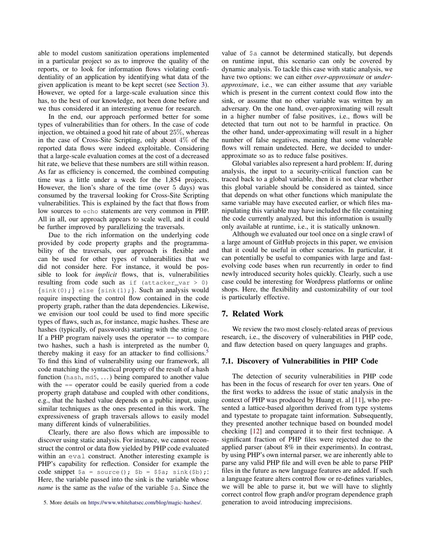able to model custom sanitization operations implemented in a particular project so as to improve the quality of the reports, or to look for information flows violating confidentiality of an application by identifying what data of the given application is meant to be kept secret (see [Section 3\)](#page-3-0). However, we opted for a large-scale evaluation since this has, to the best of our knowledge, not been done before and we thus considered it an interesting avenue for research.

In the end, our approach performed better for some types of vulnerabilities than for others. In the case of code injection, we obtained a good hit rate of about 25%, whereas in the case of Cross-Site Scripting, only about 4% of the reported data flows were indeed exploitable. Considering that a large-scale evaluation comes at the cost of a decreased hit rate, we believe that these numbers are still within reason. As far as efficiency is concerned, the combined computing time was a little under a week for the 1,854 projects. However, the lion's share of the time (over 5 days) was consumed by the traversal looking for Cross-Site Scripting vulnerabilities. This is explained by the fact that flows from low sources to echo statements are very common in PHP. All in all, our approach appears to scale well, and it could be further improved by parallelizing the traversals.

Due to the rich information on the underlying code provided by code property graphs and the programmability of the traversals, our approach is flexible and can be used for other types of vulnerabilities that we did not consider here. For instance, it would be possible to look for *implicit* flows, that is, vulnerabilities resulting from code such as if (attacker\_var > 0)  ${sink(0)}$ ; else  ${sink(1)}$ ; . Such an analysis would require inspecting the control flow contained in the code property graph, rather than the data dependencies. Likewise, we envision our tool could be used to find more specific types of flaws, such as, for instance, magic hashes. These are hashes (typically, of passwords) starting with the string 0e. If a PHP program naively uses the operator  $==$  to compare two hashes, such a hash is interpreted as the number 0, thereby making it easy for an attacker to find collisions.<sup>[5](#page-12-1)</sup> To find this kind of vulnerability using our framework, all code matching the syntactical property of the result of a hash function (hash,  $md5, \ldots$ ) being compared to another value with the  $==$  operator could be easily queried from a code property graph database and coupled with other conditions, e.g., that the hashed value depends on a public input, using similar techniques as the ones presented in this work. The expressiveness of graph traversals allows to easily model many different kinds of vulnerabilities.

Clearly, there are also flows which are impossible to discover using static analysis. For instance, we cannot reconstruct the control or data flow yielded by PHP code evaluated within an eval construct. Another interesting example is PHP's capability for reflection. Consider for example the code snippet  $a = source()$ ;  $ab = s$ sa; sink(\$b); Here, the variable passed into the sink is the variable whose *name* is the same as the *value* of the variable \$a. Since the value of \$a cannot be determined statically, but depends on runtime input, this scenario can only be covered by dynamic analysis. To tackle this case with static analysis, we have two options: we can either *over-approximate* or *underapproximate*, i.e., we can either assume that *any* variable which is present in the current context could flow into the sink, or assume that no other variable was written by an adversary. On the one hand, over-approximating will result in a higher number of false positives, i.e., flows will be detected that turn out not to be harmful in practice. On the other hand, under-approximating will result in a higher number of false negatives, meaning that some vulnerable flows will remain undetected. Here, we decided to underapproximate so as to reduce false positives.

Global variables also represent a hard problem: If, during analysis, the input to a security-critical function can be traced back to a global variable, then it is not clear whether this global variable should be considered as tainted, since that depends on what other functions which manipulate the same variable may have executed earlier, or which files manipulating this variable may have included the file containing the code currently analyzed, but this information is usually only available at runtime, i.e., it is statically unknown.

Although we evaluated our tool once on a single crawl of a large amount of GitHub projects in this paper, we envision that it could be useful in other scenarios. In particular, it can potentially be useful to companies with large and fastevolving code bases when run recurrently in order to find newly introduced security holes quickly. Clearly, such a use case could be interesting for Wordpress platforms or online shops. Here, the flexibility and customizability of our tool is particularly effective.

# <span id="page-12-0"></span>7. Related Work

We review the two most closely-related areas of previous research, i.e., the discovery of vulnerabilities in PHP code, and flaw detection based on query languages and graphs.

#### 7.1. Discovery of Vulnerabilities in PHP Code

The detection of security vulnerabilities in PHP code has been in the focus of research for over ten years. One of the first works to address the issue of static analysis in the context of PHP was produced by Huang et. al [\[11\]](#page-14-10), who presented a lattice-based algorithm derived from type systems and typestate to propagate taint information. Subsequently, they presented another technique based on bounded model checking [\[12\]](#page-14-11) and compared it to their first technique. A significant fraction of PHP files were rejected due to the applied parser (about 8% in their experiments). In contrast, by using PHP's own internal parser, we are inherently able to parse any valid PHP file and will even be able to parse PHP files in the future as new language features are added. If such a language feature alters control flow or re-defines variables, we will be able to parse it, but we will have to slightly correct control flow graph and/or program dependence graph generation to avoid introducing imprecisions.

<span id="page-12-1"></span><sup>5.</sup> More details on [https://www.whitehatsec.com/blog/magic-hashes/.](https://www.whitehatsec.com/blog/magic-hashes/)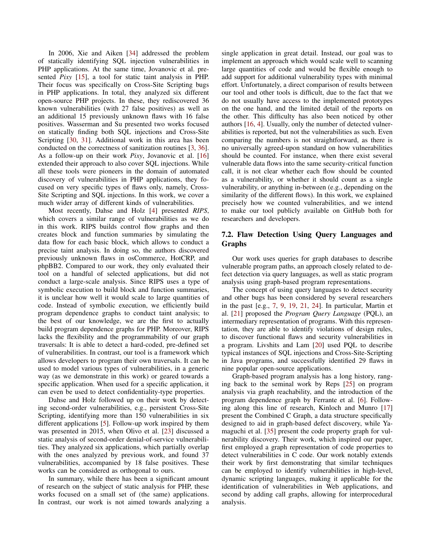In 2006, Xie and Aiken [\[34\]](#page-15-8) addressed the problem of statically identifying SQL injection vulnerabilities in PHP applications. At the same time, Jovanovic et al. presented *Pixy* [\[15\]](#page-14-1), a tool for static taint analysis in PHP. Their focus was specifically on Cross-Site Scripting bugs in PHP applications. In total, they analyzed six different open-source PHP projects. In these, they rediscovered 36 known vulnerabilities (with 27 false positives) as well as an additional 15 previously unknown flaws with 16 false positives. Wasserman and Su presented two works focused on statically finding both SQL injections and Cross-Site Scripting [\[30,](#page-15-9) [31\]](#page-15-10). Additional work in this area has been conducted on the correctness of sanitization routines [\[3,](#page-14-12) [36\]](#page-15-11). As a follow-up on their work *Pixy*, Jovanovic et al. [\[16\]](#page-14-2) extended their approach to also cover SQL injections. While all these tools were pioneers in the domain of automated discovery of vulnerabilities in PHP applications, they focused on very specific types of flaws only, namely, Cross-Site Scripting and SQL injections. In this work, we cover a much wider array of different kinds of vulnerabilities.

Most recently, Dahse and Holz [\[4\]](#page-14-3) presented *RIPS*, which covers a similar range of vulnerabilities as we do in this work. RIPS builds control flow graphs and then creates block and function summaries by simulating the data flow for each basic block, which allows to conduct a precise taint analysis. In doing so, the authors discovered previously unknown flaws in osCommerce, HotCRP, and phpBB2. Compared to our work, they only evaluated their tool on a handful of selected applications, but did not conduct a large-scale analysis. Since RIPS uses a type of symbolic execution to build block and function summaries, it is unclear how well it would scale to large quantities of code. Instead of symbolic execution, we efficiently build program dependence graphs to conduct taint analysis; to the best of our knowledge, we are the first to actually build program dependence graphs for PHP. Moreover, RIPS lacks the flexibility and the programmability of our graph traversals: It is able to detect a hard-coded, pre-defined set of vulnerabilities. In contrast, our tool is a framework which allows developers to program their own traversals. It can be used to model various types of vulnerabilities, in a generic way (as we demonstrate in this work) or geared towards a specific application. When used for a specific application, it can even be used to detect confidentiality-type properties.

Dahse and Holz followed up on their work by detecting second-order vulnerabilities, e.g., persistent Cross-Site Scripting, identifying more than 150 vulnerabilities in six different applications [\[5\]](#page-14-4). Follow-up work inspired by them was presented in 2015, when Olivo et al. [\[23\]](#page-15-12) discussed a static analysis of second-order denial-of-service vulnerabilities. They analyzed six applications, which partially overlap with the ones analyzed by previous work, and found 37 vulnerabilities, accompanied by 18 false positives. These works can be considered as orthogonal to ours.

In summary, while there has been a significant amount of research on the subject of static analysis for PHP, these works focused on a small set of (the same) applications. In contrast, our work is not aimed towards analyzing a single application in great detail. Instead, our goal was to implement an approach which would scale well to scanning large quantities of code and would be flexible enough to add support for additional vulnerability types with minimal effort. Unfortunately, a direct comparison of results between our tool and other tools is difficult, due to the fact that we do not usually have access to the implemented prototypes on the one hand, and the limited detail of the reports on the other. This difficulty has also been noticed by other authors [\[16,](#page-14-2) [4\]](#page-14-3). Usually, only the number of detected vulnerabilities is reported, but not the vulnerabilities as such. Even comparing the numbers is not straightforward, as there is no universally agreed-upon standard on how vulnerabilities should be counted. For instance, when there exist several vulnerable data flows into the same security-critical function call, it is not clear whether each flow should be counted as a vulnerability, or whether it should count as a single vulnerability, or anything in-between (e.g., depending on the similarity of the different flows). In this work, we explained precisely how we counted vulnerabilities, and we intend to make our tool publicly available on GitHub both for researchers and developers.

# 7.2. Flaw Detection Using Query Languages and Graphs

Our work uses queries for graph databases to describe vulnerable program paths, an approach closely related to defect detection via query languages, as well as static program analysis using graph-based program representations.

The concept of using query languages to detect security and other bugs has been considered by several researchers in the past [e.g., [7,](#page-14-13) [9,](#page-14-14) [19,](#page-14-15) [21,](#page-14-16) [24\]](#page-15-13). In particular, Martin et al. [\[21\]](#page-14-16) proposed the *Program Query Language* (PQL), an intermediary representation of programs. With this representation, they are able to identify violations of design rules, to discover functional flaws and security vulnerabilities in a program. Livshits and Lam [\[20\]](#page-14-17) used PQL to describe typical instances of SQL injections and Cross-Site-Scripting in Java programs, and successfully identified 29 flaws in nine popular open-source applications.

Graph-based program analysis has a long history, ranging back to the seminal work by Reps [\[25\]](#page-15-14) on program analysis via graph reachability, and the introduction of the program dependence graph by Ferrante et al. [\[6\]](#page-14-6). Following along this line of research, Kinloch and Munro [\[17\]](#page-14-18) present the Combined C Graph, a data structure specifically designed to aid in graph-based defect discovery, while Yamaguchi et al. [\[35\]](#page-15-2) present the code property graph for vulnerability discovery. Their work, which inspired our paper, first employed a graph representation of code properties to detect vulnerabilities in C code. Our work notably extends their work by first demonstrating that similar techniques can be employed to identify vulnerabilities in high-level, dynamic scripting languages, making it applicable for the identification of vulnerabilities in Web applications, and second by adding call graphs, allowing for interprocedural analysis.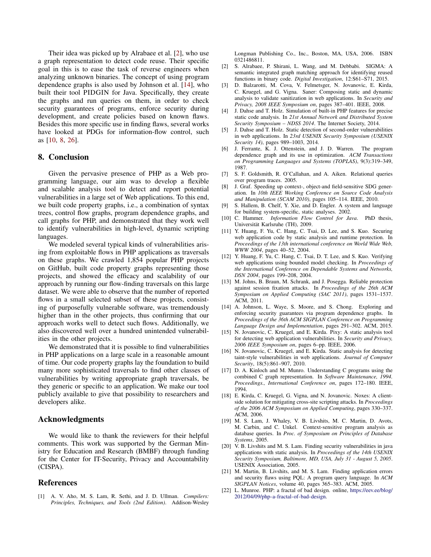Their idea was picked up by Alrabaee et al. [\[2\]](#page-14-19), who use a graph representation to detect code reuse. Their specific goal in this is to ease the task of reverse engineers when analyzing unknown binaries. The concept of using program dependence graphs is also used by Johnson et al. [\[14\]](#page-14-20), who built their tool PIDGIN for Java. Specifically, they create the graphs and run queries on them, in order to check security guarantees of programs, enforce security during development, and create policies based on known flaws. Besides this more specific use in finding flaws, several works have looked at PDGs for information-flow control, such as [\[10,](#page-14-21) [8,](#page-14-22) [26\]](#page-15-15).

## <span id="page-14-5"></span>8. Conclusion

Given the pervasive presence of PHP as a Web programming language, our aim was to develop a flexible and scalable analysis tool to detect and report potential vulnerabilities in a large set of Web applications. To this end, we built code property graphs, i.e., a combination of syntax trees, control flow graphs, program dependence graphs, and call graphs for PHP, and demonstrated that they work well to identify vulnerabilities in high-level, dynamic scripting languages.

We modeled several typical kinds of vulnerabilities arising from exploitable flows in PHP applications as traversals on these graphs. We crawled 1,854 popular PHP projects on GitHub, built code property graphs representing those projects, and showed the efficacy and scalability of our approach by running our flow-finding traversals on this large dataset. We were able to observe that the number of reported flows in a small selected subset of these projects, consisting of purposefully vulnerable software, was tremendously higher than in the other projects, thus confirming that our approach works well to detect such flows. Additionally, we also discovered well over a hundred unintended vulnerabilities in the other projects.

We demonstrated that it is possible to find vulnerabilities in PHP applications on a large scale in a reasonable amount of time. Our code property graphs lay the foundation to build many more sophisticated traversals to find other classes of vulnerabilities by writing appropriate graph traversals, be they generic or specific to an application. We make our tool publicly available to give that possibility to researchers and developers alike.

#### Acknowledgments

We would like to thank the reviewers for their helpful comments. This work was supported by the German Ministry for Education and Research (BMBF) through funding for the Center for IT-Security, Privacy and Accountability (CISPA).

# References

<span id="page-14-7"></span>[1] A. V. Aho, M. S. Lam, R. Sethi, and J. D. Ullman. *Compilers: Principles, Techniques, and Tools (2nd Edition)*. Addison-Wesley

Longman Publishing Co., Inc., Boston, MA, USA, 2006. ISBN 0321486811.

- <span id="page-14-19"></span>[2] S. Alrabaee, P. Shirani, L. Wang, and M. Debbabi. SIGMA: A semantic integrated graph matching approach for identifying reused functions in binary code. *Digital Investigation*, 12:S61–S71, 2015.
- <span id="page-14-12"></span>[3] D. Balzarotti, M. Cova, V. Felmetsger, N. Jovanovic, E. Kirda, C. Kruegel, and G. Vigna. Saner: Composing static and dynamic analysis to validate sanitization in web applications. In *Security and Privacy, 2008 IEEE Symposium on*, pages 387–401. IEEE, 2008.
- <span id="page-14-3"></span>[4] J. Dahse and T. Holz. Simulation of built-in PHP features for precise static code analysis. In *21st Annual Network and Distributed System Security Symposium – NDSS 2014*. The Internet Society, 2014.
- <span id="page-14-4"></span>[5] J. Dahse and T. Holz. Static detection of second-order vulnerabilities in web applications. In *23rd USENIX Security Symposium (USENIX Security 14)*, pages 989–1003, 2014.
- <span id="page-14-6"></span>[6] J. Ferrante, K. J. Ottenstein, and J. D. Warren. The program dependence graph and its use in optimization. *ACM Transactions on Programming Languages and Systems (TOPLAS)*, 9(3):319–349, 1987.
- <span id="page-14-13"></span>[7] S. F. Goldsmith, R. O'Callahan, and A. Aiken. Relational queries over program traces. 2005.
- <span id="page-14-22"></span>[8] J. Graf. Speeding up context-, object-and field-sensitive SDG generation. In *10th IEEE Working Conference on Source Code Analysis and Manipulation (SCAM 2010)*, pages 105–114. IEEE, 2010.
- <span id="page-14-14"></span>[9] S. Hallem, B. Chelf, Y. Xie, and D. Engler. A system and language for building system-specific, static analyses. 2002.
- <span id="page-14-21"></span>[10] C. Hammer. *Information Flow Control for Java*. PhD thesis, Universität Karlsruhe (TH), 2009.
- <span id="page-14-10"></span>[11] Y. Huang, F. Yu, C. Hang, C. Tsai, D. Lee, and S. Kuo. Securing web application code by static analysis and runtime protection. In *Proceedings of the 13th international conference on World Wide Web, WWW 2004*, pages 40–52, 2004.
- <span id="page-14-11"></span>[12] Y. Huang, F. Yu, C. Hang, C. Tsai, D. T. Lee, and S. Kuo. Verifying web applications using bounded model checking. In *Proceedings of the International Conference on Dependable Systems and Networks, DSN 2004*, pages 199–208, 2004.
- <span id="page-14-9"></span>[13] M. Johns, B. Braun, M. Schrank, and J. Posegga. Reliable protection against session fixation attacks. In *Proceedings of the 26th ACM Symposium on Applied Computing (SAC 2011)*, pages 1531–1537. ACM, 2011.
- <span id="page-14-20"></span>[14] A. Johnson, L. Waye, S. Moore, and S. Chong. Exploring and enforcing security guarantees via program dependence graphs. In *Proceedings of the 36th ACM SIGPLAN Conference on Programming Language Design and Implementation*, pages 291–302. ACM, 2015.
- <span id="page-14-1"></span>[15] N. Jovanovic, C. Kruegel, and E. Kirda. Pixy: A static analysis tool for detecting web application vulnerabilities. In *Security and Privacy, 2006 IEEE Symposium on*, pages 6–pp. IEEE, 2006.
- <span id="page-14-2"></span>[16] N. Jovanovic, C. Kruegel, and E. Kirda. Static analysis for detecting taint-style vulnerabilities in web applications. *Journal of Computer Security*, 18(5):861–907, 2010.
- <span id="page-14-18"></span>[17] D. A. Kinloch and M. Munro. Understanding C programs using the combined C graph representation. In *Software Maintenance, 1994. Proceedings., International Conference on*, pages 172–180. IEEE, 1994.
- <span id="page-14-8"></span>[18] E. Kirda, C. Kruegel, G. Vigna, and N. Jovanovic. Noxes: A clientside solution for mitigating cross-site scripting attacks. In *Proceedings of the 2006 ACM Symposium on Applied Computing*, pages 330–337. ACM, 2006.
- <span id="page-14-15"></span>[19] M. S. Lam, J. Whaley, V. B. Livshits, M. C. Martin, D. Avots, M. Carbin, and C. Unkel. Context-sensitive program analysis as database queries. In *Proc. of Symposium on Principles of Database Systems*, 2005.
- <span id="page-14-17"></span>[20] V. B. Livshits and M. S. Lam. Finding security vulnerabilities in java applications with static analysis. In *Proceedings of the 14th USENIX Security Symposium, Baltimore, MD, USA, July 31 - August 5, 2005*. USENIX Association, 2005.
- <span id="page-14-16"></span>[21] M. Martin, B. Livshits, and M. S. Lam. Finding application errors and security flaws using PQL: A program query language. In *ACM SIGPLAN Notices*, volume 40, pages 365–383. ACM, 2005.
- <span id="page-14-0"></span>[22] L. Munroe. PHP: a fractal of bad design. online, [https://eev.ee/blog/](https://eev.ee/blog/2012/04/09/php-a-fractal-of-bad-design) [2012/04/09/php-a-fractal-of-bad-design.](https://eev.ee/blog/2012/04/09/php-a-fractal-of-bad-design)